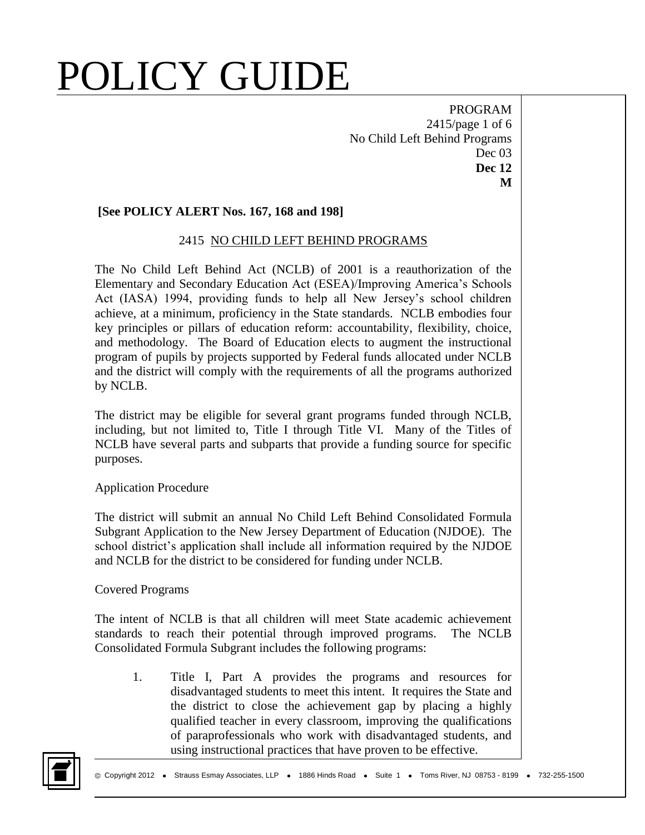PROGRAM 2415/page 1 of 6 No Child Left Behind Programs Dec 03 **Dec 12 M**

## **[See POLICY ALERT Nos. 167, 168 and 198]**

## 2415 NO CHILD LEFT BEHIND PROGRAMS

The No Child Left Behind Act (NCLB) of 2001 is a reauthorization of the Elementary and Secondary Education Act (ESEA)/Improving America's Schools Act (IASA) 1994, providing funds to help all New Jersey's school children achieve, at a minimum, proficiency in the State standards. NCLB embodies four key principles or pillars of education reform: accountability, flexibility, choice, and methodology. The Board of Education elects to augment the instructional program of pupils by projects supported by Federal funds allocated under NCLB and the district will comply with the requirements of all the programs authorized by NCLB.

The district may be eligible for several grant programs funded through NCLB, including, but not limited to, Title I through Title VI. Many of the Titles of NCLB have several parts and subparts that provide a funding source for specific purposes.

## Application Procedure

The district will submit an annual No Child Left Behind Consolidated Formula Subgrant Application to the New Jersey Department of Education (NJDOE). The school district's application shall include all information required by the NJDOE and NCLB for the district to be considered for funding under NCLB.

### Covered Programs

The intent of NCLB is that all children will meet State academic achievement standards to reach their potential through improved programs. The NCLB Consolidated Formula Subgrant includes the following programs:

1. Title I, Part A provides the programs and resources for disadvantaged students to meet this intent. It requires the State and the district to close the achievement gap by placing a highly qualified teacher in every classroom, improving the qualifications of paraprofessionals who work with disadvantaged students, and using instructional practices that have proven to be effective.

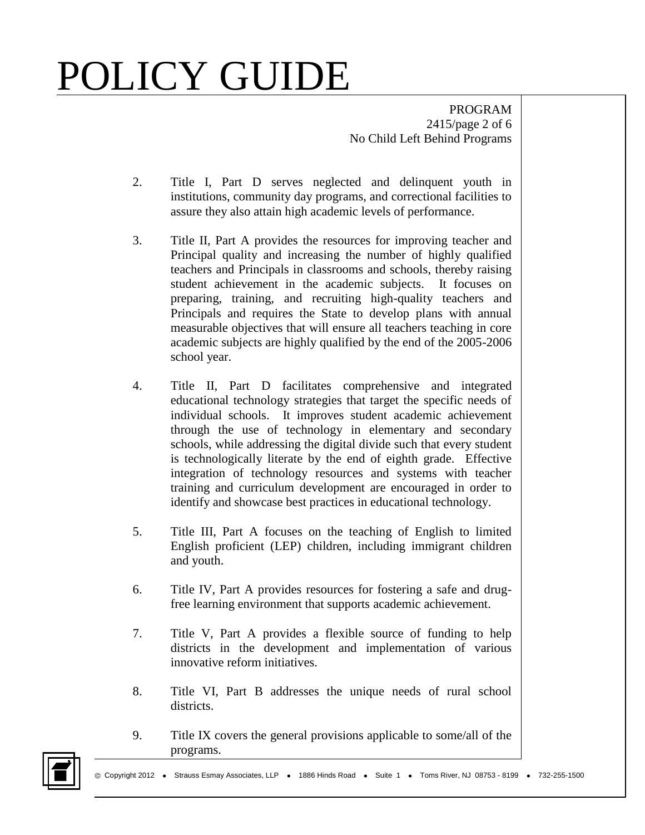PROGRAM 2415/page 2 of 6 No Child Left Behind Programs

- 2. Title I, Part D serves neglected and delinquent youth in institutions, community day programs, and correctional facilities to assure they also attain high academic levels of performance.
- 3. Title II, Part A provides the resources for improving teacher and Principal quality and increasing the number of highly qualified teachers and Principals in classrooms and schools, thereby raising student achievement in the academic subjects. It focuses on preparing, training, and recruiting high-quality teachers and Principals and requires the State to develop plans with annual measurable objectives that will ensure all teachers teaching in core academic subjects are highly qualified by the end of the 2005-2006 school year.
- 4. Title II, Part D facilitates comprehensive and integrated educational technology strategies that target the specific needs of individual schools. It improves student academic achievement through the use of technology in elementary and secondary schools, while addressing the digital divide such that every student is technologically literate by the end of eighth grade. Effective integration of technology resources and systems with teacher training and curriculum development are encouraged in order to identify and showcase best practices in educational technology.
- 5. Title III, Part A focuses on the teaching of English to limited English proficient (LEP) children, including immigrant children and youth.
- 6. Title IV, Part A provides resources for fostering a safe and drugfree learning environment that supports academic achievement.
- 7. Title V, Part A provides a flexible source of funding to help districts in the development and implementation of various innovative reform initiatives.
- 8. Title VI, Part B addresses the unique needs of rural school districts.
- 9. Title IX covers the general provisions applicable to some/all of the programs.

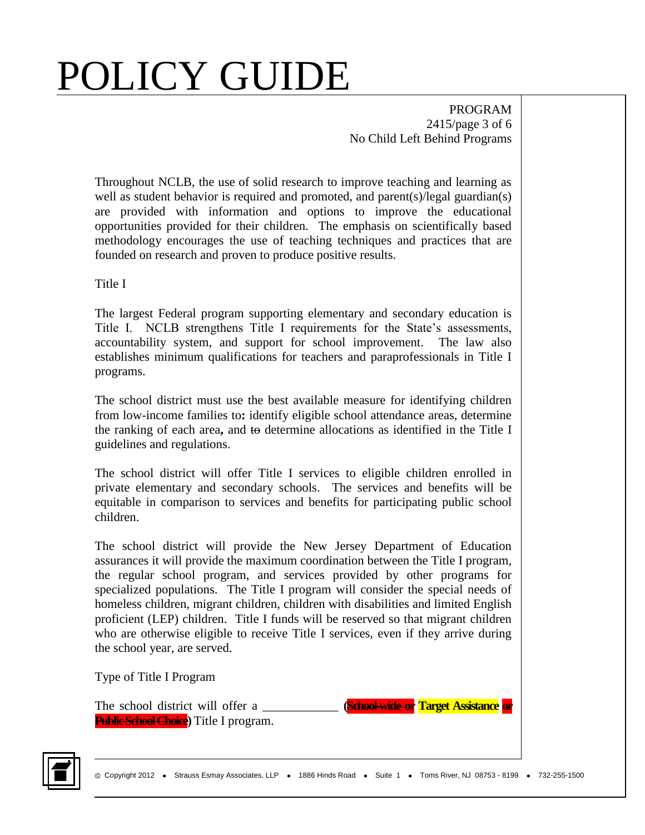PROGRAM 2415/page 3 of 6 No Child Left Behind Programs

Throughout NCLB, the use of solid research to improve teaching and learning as well as student behavior is required and promoted, and parent(s)/legal guardian(s) are provided with information and options to improve the educational opportunities provided for their children. The emphasis on scientifically based methodology encourages the use of teaching techniques and practices that are founded on research and proven to produce positive results.

Title I

The largest Federal program supporting elementary and secondary education is Title I. NCLB strengthens Title I requirements for the State's assessments, accountability system, and support for school improvement. The law also establishes minimum qualifications for teachers and paraprofessionals in Title I programs.

The school district must use the best available measure for identifying children from low-income families to**:** identify eligible school attendance areas, determine the ranking of each area**,** and to determine allocations as identified in the Title I guidelines and regulations.

The school district will offer Title I services to eligible children enrolled in private elementary and secondary schools. The services and benefits will be equitable in comparison to services and benefits for participating public school children.

The school district will provide the New Jersey Department of Education assurances it will provide the maximum coordination between the Title I program, the regular school program, and services provided by other programs for specialized populations. The Title I program will consider the special needs of homeless children, migrant children, children with disabilities and limited English proficient (LEP) children. Title I funds will be reserved so that migrant children who are otherwise eligible to receive Title I services, even if they arrive during the school year, are served.

Type of Title I Program

The school district will offer a \_\_\_\_\_\_\_\_\_\_\_\_ **(School-wide or Target Assistance or Public School Choice)** Title I program.

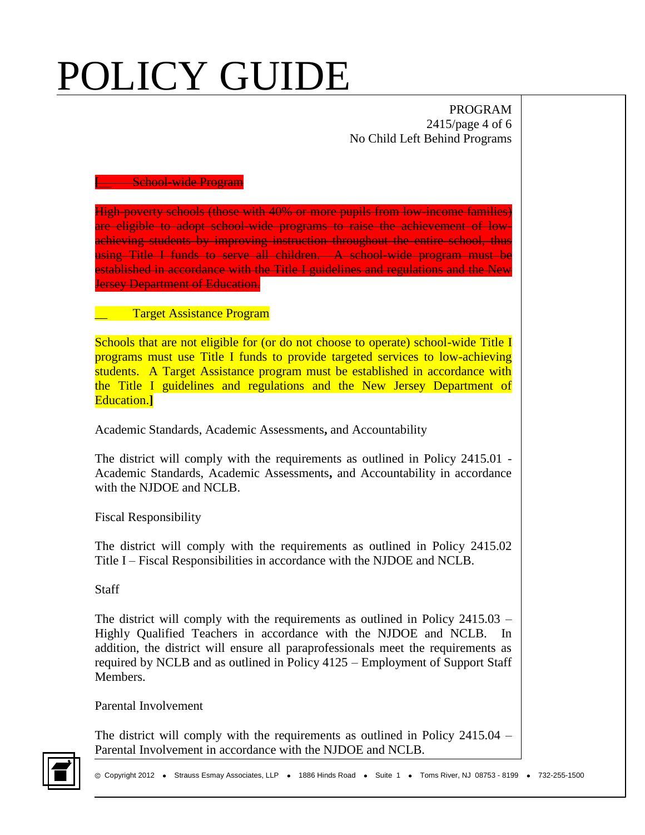PROGRAM 2415/page 4 of 6 No Child Left Behind Programs

#### **[**\_\_ School-wide Program

High-poverty schools (those with 40% or more pupils from low-income families) are eligible to adopt school-wide programs to raise the achievement of lowachieving students by improving instruction throughout the entire school, thus using Title I funds to serve all children. A school-wide program must be established in accordance with the Title I guidelines and regulations and the New **Jersey Department of Education.** 

\_\_ Target Assistance Program

Schools that are not eligible for (or do not choose to operate) school-wide Title I programs must use Title I funds to provide targeted services to low-achieving students. A Target Assistance program must be established in accordance with the Title I guidelines and regulations and the New Jersey Department of Education.**]**

Academic Standards, Academic Assessments**,** and Accountability

The district will comply with the requirements as outlined in Policy 2415.01 - Academic Standards, Academic Assessments**,** and Accountability in accordance with the NJDOE and NCLB.

Fiscal Responsibility

The district will comply with the requirements as outlined in Policy 2415.02 Title I – Fiscal Responsibilities in accordance with the NJDOE and NCLB.

**Staff** 

The district will comply with the requirements as outlined in Policy 2415.03 – Highly Qualified Teachers in accordance with the NJDOE and NCLB. In addition, the district will ensure all paraprofessionals meet the requirements as required by NCLB and as outlined in Policy 4125 – Employment of Support Staff Members.

Parental Involvement

The district will comply with the requirements as outlined in Policy 2415.04 – Parental Involvement in accordance with the NJDOE and NCLB.

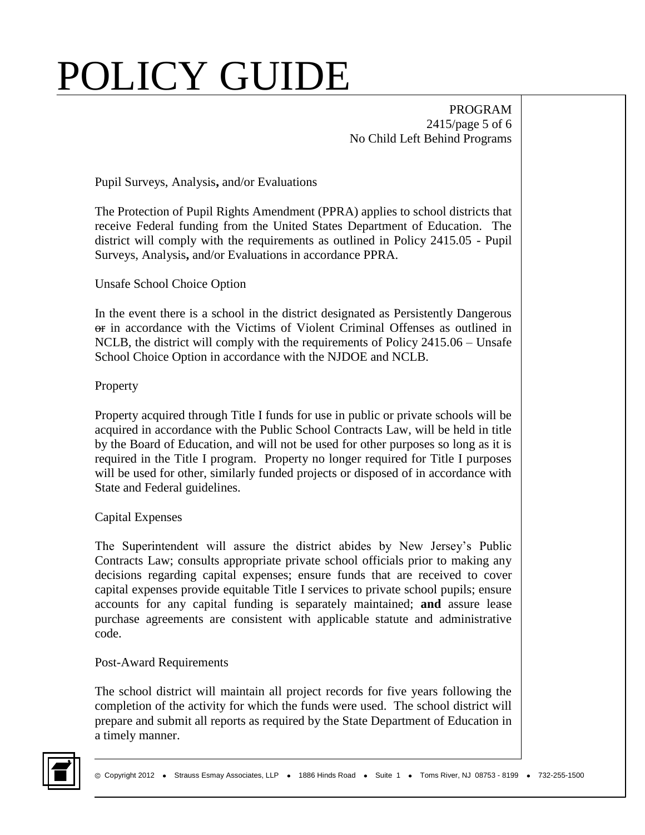PROGRAM 2415/page 5 of 6 No Child Left Behind Programs

Pupil Surveys, Analysis**,** and/or Evaluations

The Protection of Pupil Rights Amendment (PPRA) applies to school districts that receive Federal funding from the United States Department of Education. The district will comply with the requirements as outlined in Policy 2415.05 - Pupil Surveys, Analysis**,** and/or Evaluations in accordance PPRA.

Unsafe School Choice Option

In the event there is a school in the district designated as Persistently Dangerous or in accordance with the Victims of Violent Criminal Offenses as outlined in NCLB, the district will comply with the requirements of Policy 2415.06 – Unsafe School Choice Option in accordance with the NJDOE and NCLB.

## **Property**

Property acquired through Title I funds for use in public or private schools will be acquired in accordance with the Public School Contracts Law, will be held in title by the Board of Education, and will not be used for other purposes so long as it is required in the Title I program. Property no longer required for Title I purposes will be used for other, similarly funded projects or disposed of in accordance with State and Federal guidelines.

## Capital Expenses

The Superintendent will assure the district abides by New Jersey's Public Contracts Law; consults appropriate private school officials prior to making any decisions regarding capital expenses; ensure funds that are received to cover capital expenses provide equitable Title I services to private school pupils; ensure accounts for any capital funding is separately maintained; **and** assure lease purchase agreements are consistent with applicable statute and administrative code.

### Post-Award Requirements

The school district will maintain all project records for five years following the completion of the activity for which the funds were used. The school district will prepare and submit all reports as required by the State Department of Education in a timely manner.